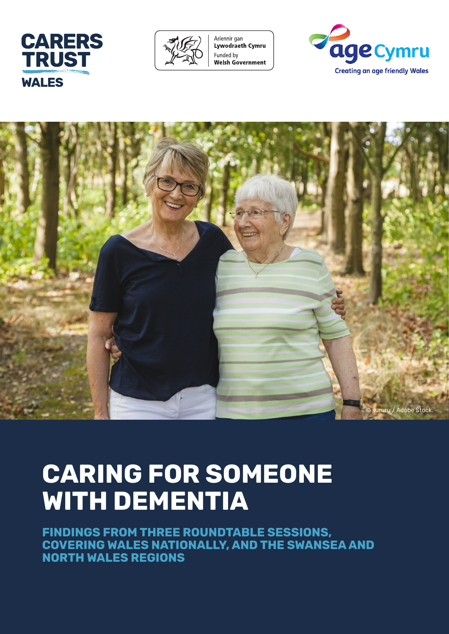



Ariennir gan Lywodraeth Cymru Funded by **Welsh Government** 





# **CARING FOR SOMEONE WITH DEMENTIA**

**FINDINGS FROM THREE ROUNDTABLE SESSIONS, COVERING WALES NATIONALLY, AND THE SWANSEA AND NORTH WALES REGIONS**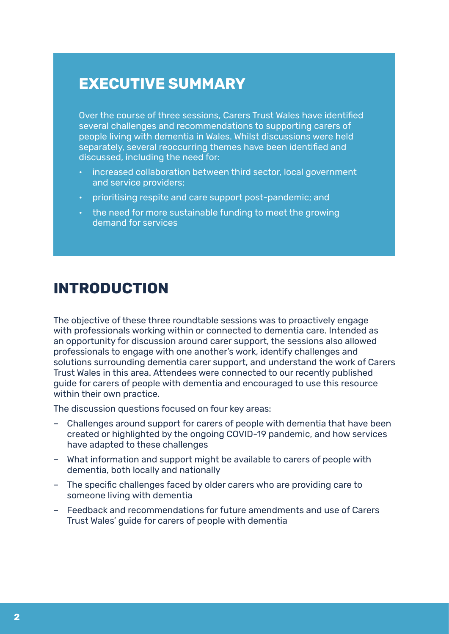#### **EXECUTIVE SUMMARY**

Over the course of three sessions, Carers Trust Wales have identified several challenges and recommendations to supporting carers of people living with dementia in Wales. Whilst discussions were held separately, several reoccurring themes have been identified and discussed, including the need for:

- increased collaboration between third sector, local government and service providers;
- prioritising respite and care support post-pandemic; and
- the need for more sustainable funding to meet the growing demand for services

#### **INTRODUCTION**

The objective of these three roundtable sessions was to proactively engage with professionals working within or connected to dementia care. Intended as an opportunity for discussion around carer support, the sessions also allowed professionals to engage with one another's work, identify challenges and solutions surrounding dementia carer support, and understand the work of Carers Trust Wales in this area. Attendees were connected to our recently published guide for carers of people with dementia and encouraged to use this resource within their own practice.

The discussion questions focused on four key areas:

- Challenges around support for carers of people with dementia that have been created or highlighted by the ongoing COVID-19 pandemic, and how services have adapted to these challenges
- What information and support might be available to carers of people with dementia, both locally and nationally
- The specific challenges faced by older carers who are providing care to someone living with dementia
- Feedback and recommendations for future amendments and use of Carers Trust Wales' guide for carers of people with dementia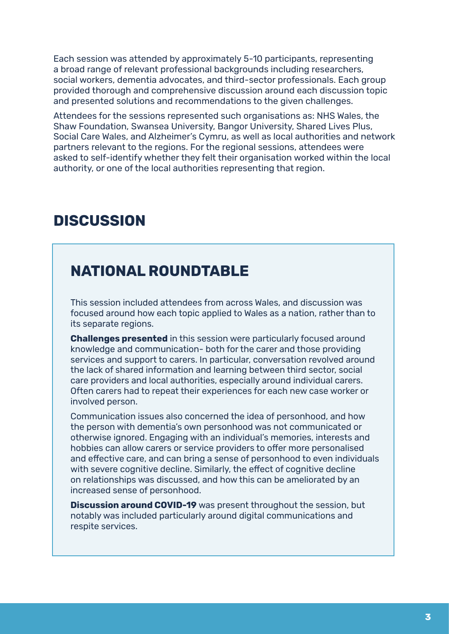Each session was attended by approximately 5-10 participants, representing a broad range of relevant professional backgrounds including researchers, social workers, dementia advocates, and third-sector professionals. Each group provided thorough and comprehensive discussion around each discussion topic and presented solutions and recommendations to the given challenges.

Attendees for the sessions represented such organisations as: NHS Wales, the Shaw Foundation, Swansea University, Bangor University, Shared Lives Plus, Social Care Wales, and Alzheimer's Cymru, as well as local authorities and network partners relevant to the regions. For the regional sessions, attendees were asked to self-identify whether they felt their organisation worked within the local authority, or one of the local authorities representing that region.

# **DISCUSSION**

# **NATIONAL ROUNDTABLE**

This session included attendees from across Wales, and discussion was focused around how each topic applied to Wales as a nation, rather than to its separate regions.

**Challenges presented** in this session were particularly focused around knowledge and communication- both for the carer and those providing services and support to carers. In particular, conversation revolved around the lack of shared information and learning between third sector, social care providers and local authorities, especially around individual carers. Often carers had to repeat their experiences for each new case worker or involved person.

Communication issues also concerned the idea of personhood, and how the person with dementia's own personhood was not communicated or otherwise ignored. Engaging with an individual's memories, interests and hobbies can allow carers or service providers to offer more personalised and effective care, and can bring a sense of personhood to even individuals with severe cognitive decline. Similarly, the effect of cognitive decline on relationships was discussed, and how this can be ameliorated by an increased sense of personhood.

**Discussion around COVID-19** was present throughout the session, but notably was included particularly around digital communications and respite services.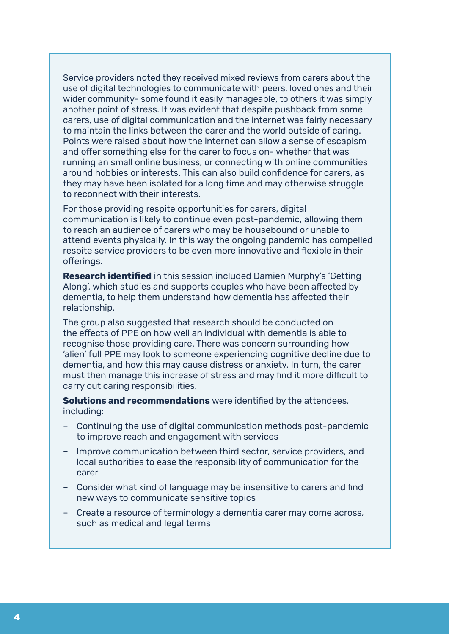Service providers noted they received mixed reviews from carers about the use of digital technologies to communicate with peers, loved ones and their wider community- some found it easily manageable, to others it was simply another point of stress. It was evident that despite pushback from some carers, use of digital communication and the internet was fairly necessary to maintain the links between the carer and the world outside of caring. Points were raised about how the internet can allow a sense of escapism and offer something else for the carer to focus on- whether that was running an small online business, or connecting with online communities around hobbies or interests. This can also build confidence for carers, as they may have been isolated for a long time and may otherwise struggle to reconnect with their interests.

For those providing respite opportunities for carers, digital communication is likely to continue even post-pandemic, allowing them to reach an audience of carers who may be housebound or unable to attend events physically. In this way the ongoing pandemic has compelled respite service providers to be even more innovative and flexible in their offerings.

**Research identified** in this session included Damien Murphy's 'Getting Along', which studies and supports couples who have been affected by dementia, to help them understand how dementia has affected their relationship.

The group also suggested that research should be conducted on the effects of PPE on how well an individual with dementia is able to recognise those providing care. There was concern surrounding how 'alien' full PPE may look to someone experiencing cognitive decline due to dementia, and how this may cause distress or anxiety. In turn, the carer must then manage this increase of stress and may find it more difficult to carry out caring responsibilities.

**Solutions and recommendations** were identified by the attendees, including:

- Continuing the use of digital communication methods post-pandemic to improve reach and engagement with services
- Improve communication between third sector, service providers, and local authorities to ease the responsibility of communication for the carer
- Consider what kind of language may be insensitive to carers and find new ways to communicate sensitive topics
- Create a resource of terminology a dementia carer may come across, such as medical and legal terms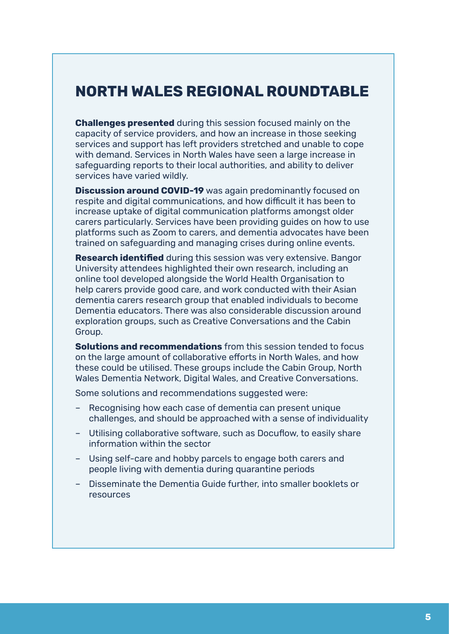## **NORTH WALES REGIONAL ROUNDTABLE**

**Challenges presented** during this session focused mainly on the capacity of service providers, and how an increase in those seeking services and support has left providers stretched and unable to cope with demand. Services in North Wales have seen a large increase in safeguarding reports to their local authorities, and ability to deliver services have varied wildly.

**Discussion around COVID-19** was again predominantly focused on respite and digital communications, and how difficult it has been to increase uptake of digital communication platforms amongst older carers particularly. Services have been providing guides on how to use platforms such as Zoom to carers, and dementia advocates have been trained on safeguarding and managing crises during online events.

**Research identified** during this session was very extensive. Bangor University attendees highlighted their own research, including an online tool developed alongside the World Health Organisation to help carers provide good care, and work conducted with their Asian dementia carers research group that enabled individuals to become Dementia educators. There was also considerable discussion around exploration groups, such as Creative Conversations and the Cabin Group.

**Solutions and recommendations** from this session tended to focus on the large amount of collaborative efforts in North Wales, and how these could be utilised. These groups include the Cabin Group, North Wales Dementia Network, Digital Wales, and Creative Conversations.

Some solutions and recommendations suggested were:

- Recognising how each case of dementia can present unique challenges, and should be approached with a sense of individuality
- Utilising collaborative software, such as Docuflow, to easily share information within the sector
- Using self-care and hobby parcels to engage both carers and people living with dementia during quarantine periods
- Disseminate the Dementia Guide further, into smaller booklets or resources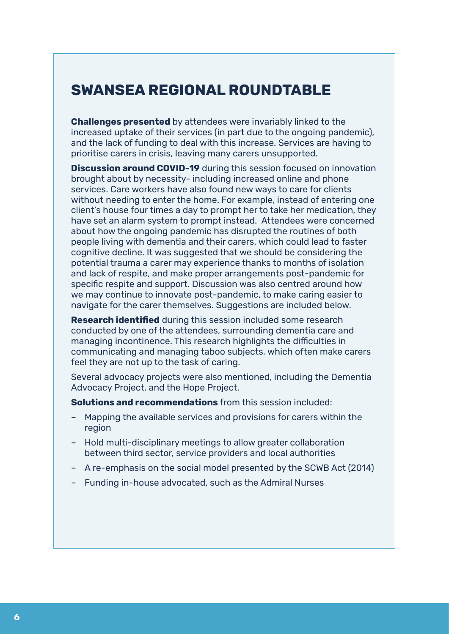### **SWANSEA REGIONAL ROUNDTABLE**

**Challenges presented** by attendees were invariably linked to the increased uptake of their services (in part due to the ongoing pandemic), and the lack of funding to deal with this increase. Services are having to prioritise carers in crisis, leaving many carers unsupported.

**Discussion around COVID-19** during this session focused on innovation brought about by necessity- including increased online and phone services. Care workers have also found new ways to care for clients without needing to enter the home. For example, instead of entering one client's house four times a day to prompt her to take her medication, they have set an alarm system to prompt instead. Attendees were concerned about how the ongoing pandemic has disrupted the routines of both people living with dementia and their carers, which could lead to faster cognitive decline. It was suggested that we should be considering the potential trauma a carer may experience thanks to months of isolation and lack of respite, and make proper arrangements post-pandemic for specific respite and support. Discussion was also centred around how we may continue to innovate post-pandemic, to make caring easier to navigate for the carer themselves. Suggestions are included below.

**Research identified** during this session included some research conducted by one of the attendees, surrounding dementia care and managing incontinence. This research highlights the difficulties in communicating and managing taboo subjects, which often make carers feel they are not up to the task of caring.

Several advocacy projects were also mentioned, including the Dementia Advocacy Project, and the Hope Project.

**Solutions and recommendations** from this session included:

- Mapping the available services and provisions for carers within the region
- Hold multi-disciplinary meetings to allow greater collaboration between third sector, service providers and local authorities
- A re-emphasis on the social model presented by the SCWB Act (2014)
- Funding in-house advocated, such as the Admiral Nurses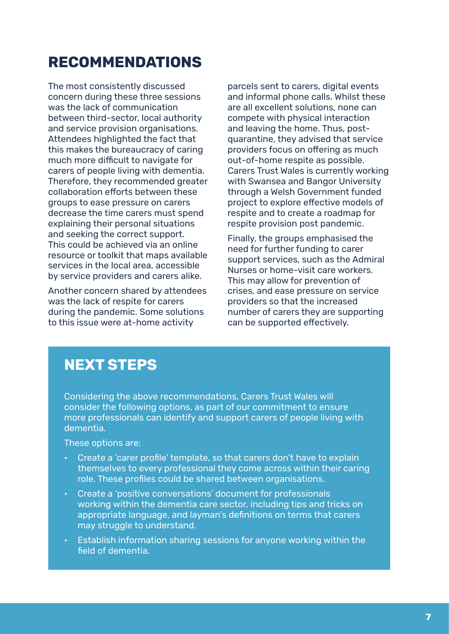# **RECOMMENDATIONS**

The most consistently discussed concern during these three sessions was the lack of communication between third-sector, local authority and service provision organisations. Attendees highlighted the fact that this makes the bureaucracy of caring much more difficult to navigate for carers of people living with dementia. Therefore, they recommended greater collaboration efforts between these groups to ease pressure on carers decrease the time carers must spend explaining their personal situations and seeking the correct support. This could be achieved via an online resource or toolkit that maps available services in the local area, accessible by service providers and carers alike.

Another concern shared by attendees was the lack of respite for carers during the pandemic. Some solutions to this issue were at-home activity

parcels sent to carers, digital events and informal phone calls. Whilst these are all excellent solutions, none can compete with physical interaction and leaving the home. Thus, postquarantine, they advised that service providers focus on offering as much out-of-home respite as possible. Carers Trust Wales is currently working with Swansea and Bangor University through a Welsh Government funded project to explore effective models of respite and to create a roadmap for respite provision post pandemic.

Finally, the groups emphasised the need for further funding to carer support services, such as the Admiral Nurses or home-visit care workers. This may allow for prevention of crises, and ease pressure on service providers so that the increased number of carers they are supporting can be supported effectively.

### **NEXT STEPS**

Considering the above recommendations, Carers Trust Wales will consider the following options, as part of our commitment to ensure more professionals can identify and support carers of people living with dementia.

These options are:

- Create a 'carer profile' template, so that carers don't have to explain themselves to every professional they come across within their caring role. These profiles could be shared between organisations.
- Create a 'positive conversations' document for professionals working within the dementia care sector, including tips and tricks on appropriate language, and layman's definitions on terms that carers may struggle to understand.
- Establish information sharing sessions for anyone working within the field of dementia.